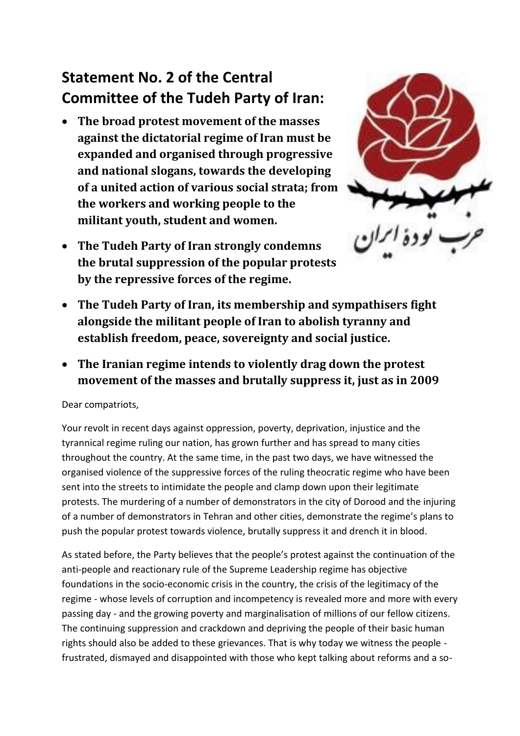## **Statement No. 2 of the Central Committee of the Tudeh Party of Iran:**

- **The broad protest movement of the masses against the dictatorial regime of Iran must be expanded and organised through progressive and national slogans, towards the developing of a united action of various social strata; from the workers and working people to the militant youth, student and women.**
- **The Tudeh Party of Iran strongly condemns the brutal suppression of the popular protests by the repressive forces of the regime.**



- **The Tudeh Party of Iran, its membership and sympathisers fight alongside the militant people of Iran to abolish tyranny and establish freedom, peace, sovereignty and social justice.**
- **The Iranian regime intends to violently drag down the protest movement of the masses and brutally suppress it, just as in 2009**

Dear compatriots,

Your revolt in recent days against oppression, poverty, deprivation, injustice and the tyrannical regime ruling our nation, has grown further and has spread to many cities throughout the country. At the same time, in the past two days, we have witnessed the organised violence of the suppressive forces of the ruling theocratic regime who have been sent into the streets to intimidate the people and clamp down upon their legitimate protests. The murdering of a number of demonstrators in the city of Dorood and the injuring of a number of demonstrators in Tehran and other cities, demonstrate the regime's plans to push the popular protest towards violence, brutally suppress it and drench it in blood.

As stated before, the Party believes that the people's protest against the continuation of the anti-people and reactionary rule of the Supreme Leadership regime has objective foundations in the socio-economic crisis in the country, the crisis of the legitimacy of the regime - whose levels of corruption and incompetency is revealed more and more with every passing day - and the growing poverty and marginalisation of millions of our fellow citizens. The continuing suppression and crackdown and depriving the people of their basic human rights should also be added to these grievances. That is why today we witness the people frustrated, dismayed and disappointed with those who kept talking about reforms and a so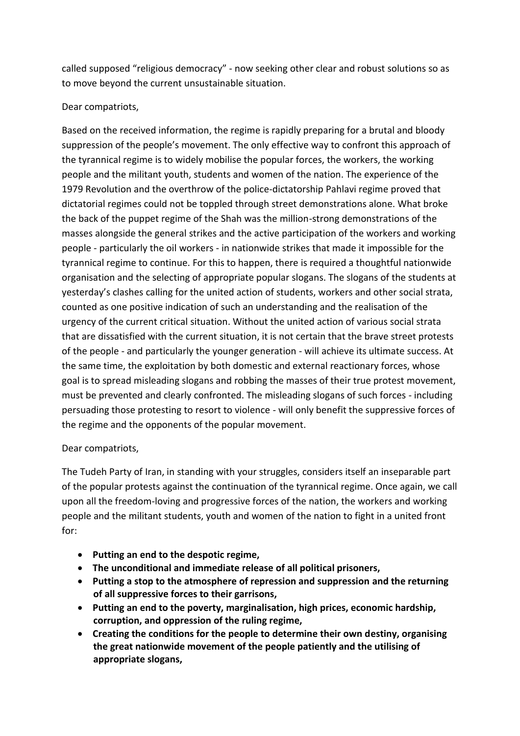called supposed "religious democracy" - now seeking other clear and robust solutions so as to move beyond the current unsustainable situation.

## Dear compatriots,

Based on the received information, the regime is rapidly preparing for a brutal and bloody suppression of the people's movement. The only effective way to confront this approach of the tyrannical regime is to widely mobilise the popular forces, the workers, the working people and the militant youth, students and women of the nation. The experience of the 1979 Revolution and the overthrow of the police-dictatorship Pahlavi regime proved that dictatorial regimes could not be toppled through street demonstrations alone. What broke the back of the puppet regime of the Shah was the million-strong demonstrations of the masses alongside the general strikes and the active participation of the workers and working people - particularly the oil workers - in nationwide strikes that made it impossible for the tyrannical regime to continue. For this to happen, there is required a thoughtful nationwide organisation and the selecting of appropriate popular slogans. The slogans of the students at yesterday's clashes calling for the united action of students, workers and other social strata, counted as one positive indication of such an understanding and the realisation of the urgency of the current critical situation. Without the united action of various social strata that are dissatisfied with the current situation, it is not certain that the brave street protests of the people - and particularly the younger generation - will achieve its ultimate success. At the same time, the exploitation by both domestic and external reactionary forces, whose goal is to spread misleading slogans and robbing the masses of their true protest movement, must be prevented and clearly confronted. The misleading slogans of such forces - including persuading those protesting to resort to violence - will only benefit the suppressive forces of the regime and the opponents of the popular movement.

## Dear compatriots,

The Tudeh Party of Iran, in standing with your struggles, considers itself an inseparable part of the popular protests against the continuation of the tyrannical regime. Once again, we call upon all the freedom-loving and progressive forces of the nation, the workers and working people and the militant students, youth and women of the nation to fight in a united front for:

- **Putting an end to the despotic regime,**
- **The unconditional and immediate release of all political prisoners,**
- **Putting a stop to the atmosphere of repression and suppression and the returning of all suppressive forces to their garrisons,**
- **Putting an end to the poverty, marginalisation, high prices, economic hardship, corruption, and oppression of the ruling regime,**
- **Creating the conditions for the people to determine their own destiny, organising the great nationwide movement of the people patiently and the utilising of appropriate slogans,**